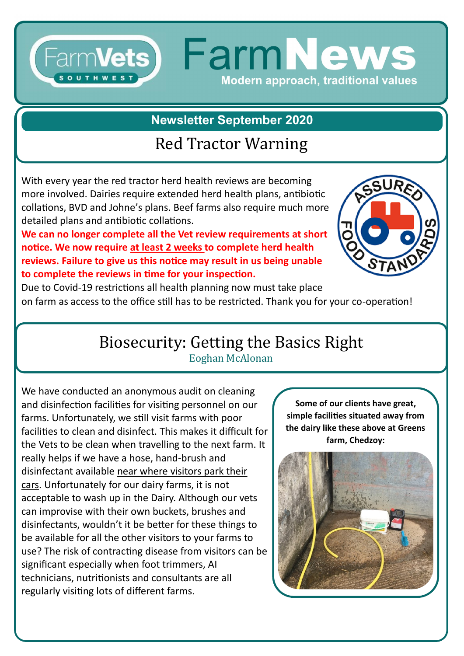### FarmVets) FarmNews **OUTHWES** Modern approach, traditional values

**Newsletter September 2020**

### Red Tractor Warning

With every year the red tractor herd health reviews are becoming more involved. Dairies require extended herd health plans, antibiotic collations, BVD and Johne's plans. Beef farms also require much more detailed plans and antibiotic collations.

**We can no longer complete all the Vet review requirements at short notice. We now require at least 2 weeks to complete herd health reviews. Failure to give us this notice may result in us being unable to complete the reviews in time for your inspection.**



Due to Covid-19 restrictions all health planning now must take place on farm as access to the office still has to be restricted. Thank you for your co-operation!

# Biosecurity: Getting the Basics Right

Eoghan McAlonan

We have conducted an anonymous audit on cleaning and disinfection facilities for visiting personnel on our farms. Unfortunately, we still visit farms with poor facilities to clean and disinfect. This makes it difficult for the Vets to be clean when travelling to the next farm. It really helps if we have a hose, hand-brush and disinfectant available near where visitors park their cars. Unfortunately for our dairy farms, it is not acceptable to wash up in the Dairy. Although our vets can improvise with their own buckets, brushes and disinfectants, wouldn't it be better for these things to be available for all the other visitors to your farms to use? The risk of contracting disease from visitors can be significant especially when foot trimmers, AI technicians, nutritionists and consultants are all regularly visiting lots of different farms.

**Some of our clients have great, simple facilities situated away from the dairy like these above at Greens farm, Chedzoy:**